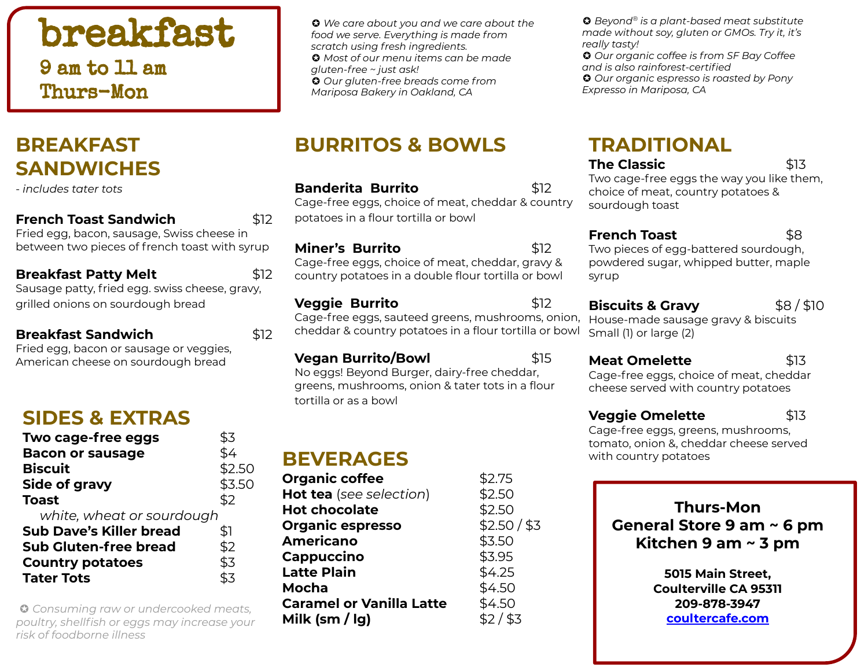# breakfast

9 am to 11 am Thurs-Mon

### **BREAKFAST SANDWICHES**

- *includes tater tots* 

#### **French Toast Sandwich** \$12

Fried egg, bacon, sausage, Swiss cheese in between two pieces of french toast with syrup

#### **Breakfast Patty Melt** \$12

Sausage patty, fried egg. swiss cheese, gravy, grilled onions on sourdough bread

#### **Breakfast Sandwich** \$12

Fried egg, bacon or sausage or veggies, American cheese on sourdough bread

### **SIDES & EXTRAS**

| Two cage-free eggs             | \$3    |
|--------------------------------|--------|
| <b>Bacon or sausage</b>        | \$4    |
| <b>Biscuit</b>                 | \$2.50 |
| Side of gravy                  | \$3.50 |
| <b>Toast</b>                   | \$2    |
| white, wheat or sourdough      |        |
| <b>Sub Dave's Killer bread</b> | \$1    |
| <b>Sub Gluten-free bread</b>   | \$2    |
| <b>Country potatoes</b>        | \$3    |
| <b>Tater Tots</b>              | \$3    |

**G** Consuming raw or undercooked meats, **Caramel or vanilla Latte**  $\frac{1}{2}$   $\frac{1}{2}$   $\frac{1}{3}$ *risk of foodborne illness*

✪ *We care about you and we care about the food we serve. Everything is made from scratch using fresh ingredients.*  ✪ *Most of our menu items can be made gluten-free ~ just ask!* ✪ *Our gluten-free breads come from Mariposa Bakery in Oakland, CA*

### **BURRITOS & BOWLS**

#### **Banderita Burrito** \$12

Cage-free eggs, choice of meat, cheddar & country potatoes in a flour tortilla or bowl

**Miner's Burrito** \$12

Cage-free eggs, choice of meat, cheddar, gravy & country potatoes in a double flour tortilla or bowl

#### **Veggie Burrito** \$12

tortilla or as a bowl

Cage-free eggs, sauteed greens, mushrooms, onion, cheddar & country potatoes in a flour tortilla or bowl

greens, mushrooms, onion & tater tots in a flour

**Vegan Burrito/Bowl \$15** 

No eggs! Beyond Burger, dairy-free cheddar,

**Meat Omelette** \$13

Cage-free eggs, choice of meat, cheddar cheese served with country potatoes

powdered sugar, whipped butter, maple

**Biscuits & Gravy**  $$8/$10$ House-made sausage gravy & biscuits

### **Veggie Omelette** \$13

Cage-free eggs, greens, mushrooms, tomato, onion &, cheddar cheese served **BEVERAGES** with country potatoes

### $\sum_{n=1}^{\infty}$

| Organic coffee                                  | DZ./J        |
|-------------------------------------------------|--------------|
| Hot tea (see selection)                         | \$2.50       |
| <b>Hot chocolate</b>                            | \$2.50       |
| <b>Organic espresso</b>                         | \$2.50 / \$3 |
| <b>Americano</b>                                | \$3.50       |
| Cappuccino                                      | \$3.95       |
| <b>Latte Plain</b>                              | \$4.25       |
| Mocha                                           | \$4.50       |
| <b>Caramel or Vanilla Latte</b>                 | \$4.50       |
| Milk $\left(\frac{\text{sm}}{\text{kg}}\right)$ | $$2/$ \$3    |

### **Thurs-Mon General Store 9 am ~ 6 pm Kitchen 9 am ~ 3 pm**

**5015 Main Street, Coulterville CA 95311 209-878-3947 coultercafe.com**

**TRADITIONAL**

**The Classic 613** 

✪ *Beyond® is a plant-based meat substitute made without soy, gluten or GMOs. Try it, it's* 

✪ *Our organic coffee is from SF Bay Coffee* 

✪ *Our organic espresso is roasted by Pony* 

*and is also rainforest-certified*

*Expresso in Mariposa, CA*

Two cage-free eggs the way you like them, choice of meat, country potatoes &

*really tasty!* 

syrup

sourdough toast

Small (1) or large (2)

**French Toast** \$8 Two pieces of egg-battered sourdough,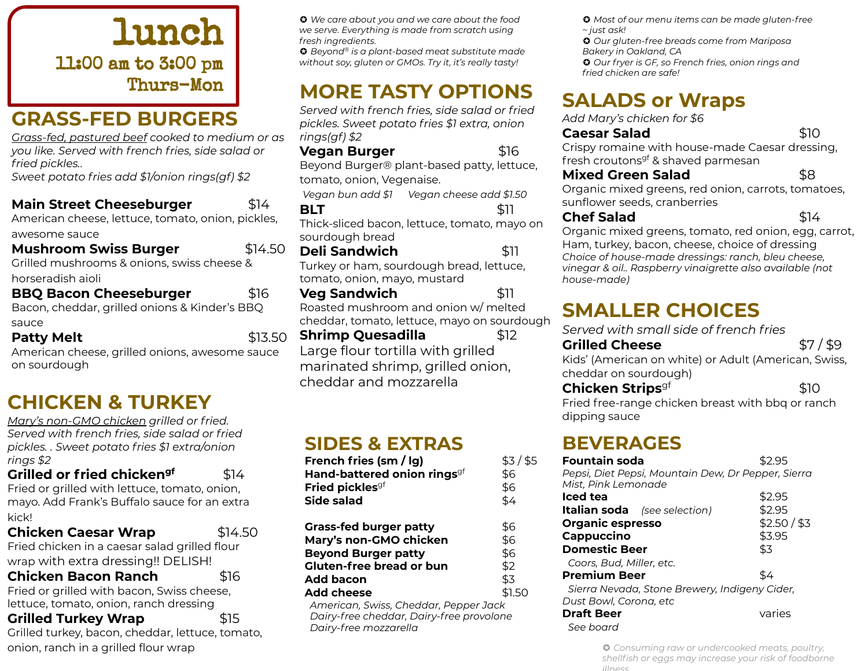lunch 11:00 am to 3:00 pm Thurs-Mon

### **GRASS-FED BURGERS**

*Grass-fed, pastured beef cooked to medium or as you like. Served with french fries, side salad or fried pickles..* 

*Sweet potato fries add \$1/onion rings(gf) \$2*

**Main Street Cheeseburger** \$14 American cheese, lettuce, tomato, onion, pickles, awesome sauce **Mushroom Swiss Burger** \$14.50

Grilled mushrooms & onions, swiss cheese & horseradish aioli

**BBQ Bacon Cheeseburger** \$16 Bacon, cheddar, grilled onions & Kinder's BBQ sauce

#### **Patty Melt 12.50**

American cheese, grilled onions, awesome sauce on sourdough

### **CHICKEN & TURKEY**

*Mary's non-GMO chicken grilled or fried. Served with french fries, side salad or fried pickles. . Sweet potato fries \$1 extra/onion rings \$2*

**Grilled or fried chicken<sup>gf</sup> \$14** Fried or grilled with lettuce, tomato, onion, mayo. Add Frank's Buffalo sauce for an extra kick!

**Chicken Caesar Wrap** \$14.50 Fried chicken in a caesar salad grilled flour wrap with extra dressing!! DELISH!

**Chicken Bacon Ranch** \$16

Fried or grilled with bacon, Swiss cheese, lettuce, tomato, onion, ranch dressing

**Grilled Turkey Wrap 515** 

Grilled turkey, bacon, cheddar, lettuce, tomato, onion, ranch in a grilled flour wrap

✪ *We care about you and we care about the food we serve. Everything is made from scratch using fresh ingredients.* 

✪ *Beyond® is a plant-based meat substitute made without soy, gluten or GMOs. Try it, it's really tasty!* 

### **MORE TASTY OPTIONS**

*Served with french fries, side salad or fried pickles. Sweet potato fries \$1 extra, onion rings(gf) \$2*

**Vegan Burger** \$16

Beyond Burger® plant-based patty, lettuce, tomato, onion, Vegenaise.

*Vegan bun add \$1 Vegan cheese add \$1.50* **BLT** \$11

Thick-sliced bacon, lettuce, tomato, mayo on sourdough bread

**Deli Sandwich** \$11 Turkey or ham, sourdough bread, lettuce, tomato, onion, mayo, mustard

**Veg Sandwich** \$11 Roasted mushroom and onion w/ melted cheddar, tomato, lettuce, mayo on sourdough

**Shrimp Quesadilla** \$12 Large flour tortilla with grilled marinated shrimp, grilled onion, cheddar and mozzarella

### **SIDES & EXTRAS** *-*

| French fries (sm / lg)<br>Hand-battered onion rings <sup>gf</sup><br>Fried pickles <sup>gf</sup><br>Side salad | $$3/$ \$5<br>\$6<br>\$6<br>\$4 |
|----------------------------------------------------------------------------------------------------------------|--------------------------------|
| <b>Grass-fed burger patty</b>                                                                                  | \$6                            |
| Mary's non-GMO chicken                                                                                         | \$6                            |
| <b>Beyond Burger patty</b>                                                                                     | \$6                            |
| Gluten-free bread or bun                                                                                       | \$2                            |
| Add bacon                                                                                                      | \$3                            |
| Add cheese                                                                                                     | \$1.50                         |
| American, Swiss, Cheddar, Pepper Jack                                                                          |                                |

 *Dairy-free cheddar, Dairy-free provolone Dairy-free mozzarella*

✪ *Most of our menu items can be made gluten-free ~ just ask!*

✪ *Our gluten-free breads come from Mariposa Bakery in Oakland, CA*

✪ *Our fryer is GF, so French fries, onion rings and fried chicken are safe!*

## **SALADS or Wraps**

*Add Mary's chicken for \$6*

### **Caesar Salad** \$10

Crispy romaine with house-made Caesar dressing, fresh croutons<sup>gf</sup> & shaved parmesan

#### **Mixed Green Salad** 58

Organic mixed greens, red onion, carrots, tomatoes, sunflower seeds, cranberries

#### **Chef Salad** \$14

Organic mixed greens, tomato, red onion, egg, carrot, Ham, turkey, bacon, cheese, choice of dressing *Choice of house-made dressings: ranch, bleu cheese, vinegar & oil.. Raspberry vinaigrette also available (not house-made)*

### **SMALLER CHOICES**

*Served with small side of french fries*

**Grilled Cheese** \$7/\$9 Kids' (American on white) or Adult (American, Swiss, cheddar on sourdough)

#### **Chicken Strips**<sup>gf</sup> \$10

Fried free-range chicken breast with bbq or ranch dipping sauce

### **BEVERAGES**

| <b>Fountain soda</b>                               | \$2.95       |
|----------------------------------------------------|--------------|
| Pepsi, Diet Pepsi, Mountain Dew, Dr Pepper, Sierra |              |
| Mist, Pink Lemonade                                |              |
| Iced tea                                           | \$2.95       |
| <b>Italian soda</b> (see selection)                | \$2.95       |
| <b>Organic espresso</b>                            | \$2.50 / \$3 |
| Cappuccino                                         | \$3.95       |
| <b>Domestic Beer</b>                               | \$3          |
| Coors, Bud, Miller, etc.                           |              |
| <b>Premium Beer</b>                                | \$4          |
| Sierra Nevada, Stone Brewery, Indigeny Cider,      |              |
| Dust Bowl, Corona, etc                             |              |
| <b>Draft Beer</b>                                  | varies       |
| See board                                          |              |

✪ *Consuming raw or undercooked meats, poultry, shellfish or eggs may increase your risk of foodborne illness*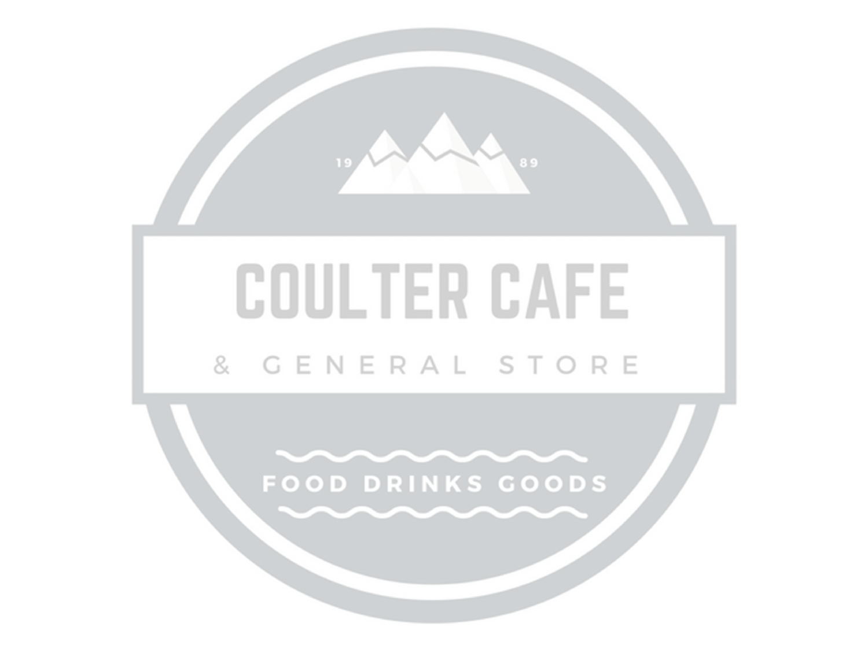